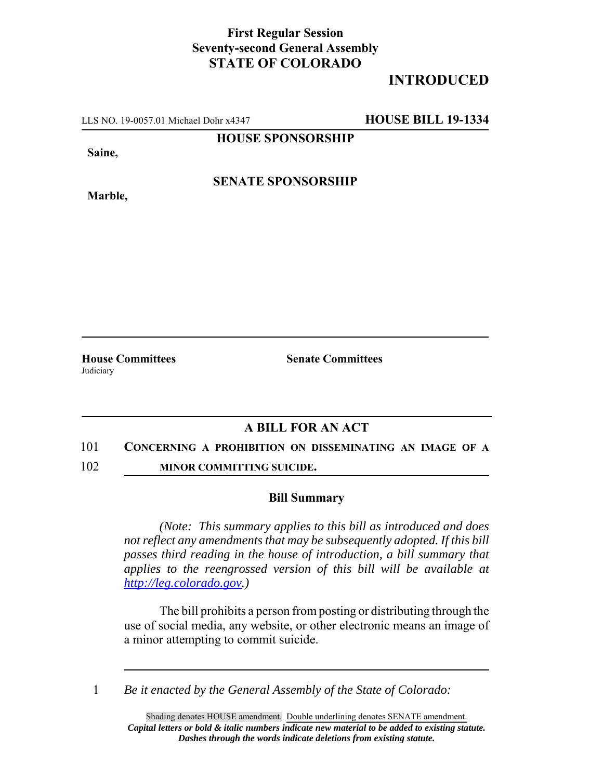## **First Regular Session Seventy-second General Assembly STATE OF COLORADO**

## **INTRODUCED**

LLS NO. 19-0057.01 Michael Dohr x4347 **HOUSE BILL 19-1334**

**HOUSE SPONSORSHIP**

**Saine,**

**Marble,**

**SENATE SPONSORSHIP**

Judiciary

**House Committees Senate Committees**

## **A BILL FOR AN ACT**

- 101 **CONCERNING A PROHIBITION ON DISSEMINATING AN IMAGE OF A**
- 102 **MINOR COMMITTING SUICIDE.**

## **Bill Summary**

*(Note: This summary applies to this bill as introduced and does not reflect any amendments that may be subsequently adopted. If this bill passes third reading in the house of introduction, a bill summary that applies to the reengrossed version of this bill will be available at http://leg.colorado.gov.)*

The bill prohibits a person from posting or distributing through the use of social media, any website, or other electronic means an image of a minor attempting to commit suicide.

1 *Be it enacted by the General Assembly of the State of Colorado:*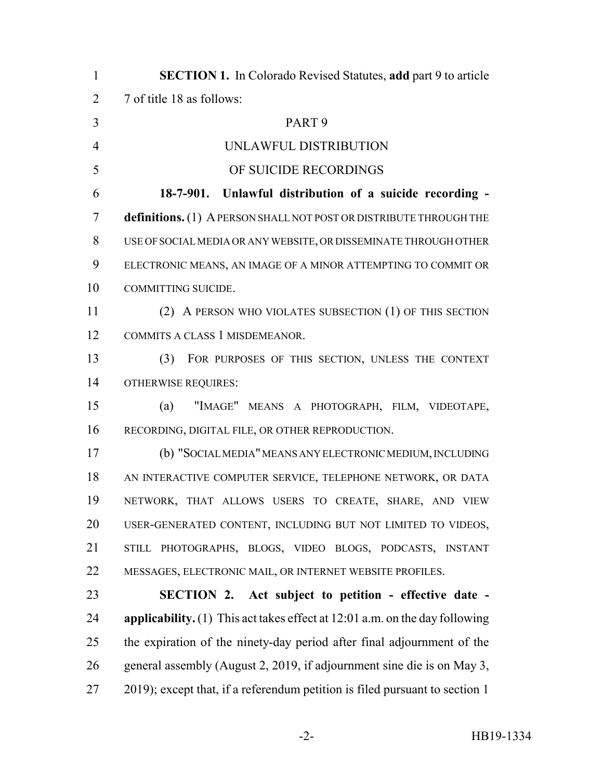| $\mathbf{1}$   | <b>SECTION 1.</b> In Colorado Revised Statutes, add part 9 to article         |
|----------------|-------------------------------------------------------------------------------|
| $\overline{2}$ | 7 of title 18 as follows:                                                     |
| $\overline{3}$ | PART <sub>9</sub>                                                             |
| $\overline{4}$ | UNLAWFUL DISTRIBUTION                                                         |
| 5              | OF SUICIDE RECORDINGS                                                         |
| 6              | 18-7-901. Unlawful distribution of a suicide recording -                      |
| 7              | definitions. (1) A PERSON SHALL NOT POST OR DISTRIBUTE THROUGH THE            |
| 8              | USE OF SOCIAL MEDIA OR ANY WEBSITE, OR DISSEMINATE THROUGH OTHER              |
| 9              | ELECTRONIC MEANS, AN IMAGE OF A MINOR ATTEMPTING TO COMMIT OR                 |
| 10             | COMMITTING SUICIDE.                                                           |
| 11             | (2) A PERSON WHO VIOLATES SUBSECTION (1) OF THIS SECTION                      |
| 12             | COMMITS A CLASS 1 MISDEMEANOR.                                                |
| 13             | (3)<br>FOR PURPOSES OF THIS SECTION, UNLESS THE CONTEXT                       |
| 14             | <b>OTHERWISE REQUIRES:</b>                                                    |
| 15             | (a)<br>"IMAGE" MEANS A PHOTOGRAPH, FILM, VIDEOTAPE,                           |
| 16             | RECORDING, DIGITAL FILE, OR OTHER REPRODUCTION.                               |
| 17             | (b) "SOCIAL MEDIA" MEANS ANY ELECTRONIC MEDIUM, INCLUDING                     |
| 18             | AN INTERACTIVE COMPUTER SERVICE, TELEPHONE NETWORK, OR DATA                   |
| 19             | NETWORK, THAT ALLOWS USERS TO CREATE, SHARE, AND VIEW                         |
| 20             | USER-GENERATED CONTENT, INCLUDING BUT NOT LIMITED TO VIDEOS,                  |
| 21             | STILL PHOTOGRAPHS, BLOGS, VIDEO BLOGS, PODCASTS, INSTANT                      |
| 22             | MESSAGES, ELECTRONIC MAIL, OR INTERNET WEBSITE PROFILES.                      |
| 23             | SECTION 2. Act subject to petition - effective date -                         |
| 24             | applicability. $(1)$ This act takes effect at 12:01 a.m. on the day following |
| 25             | the expiration of the ninety-day period after final adjournment of the        |
| 26             | general assembly (August 2, 2019, if adjournment sine die is on May 3,        |
| 27             | 2019); except that, if a referendum petition is filed pursuant to section 1   |